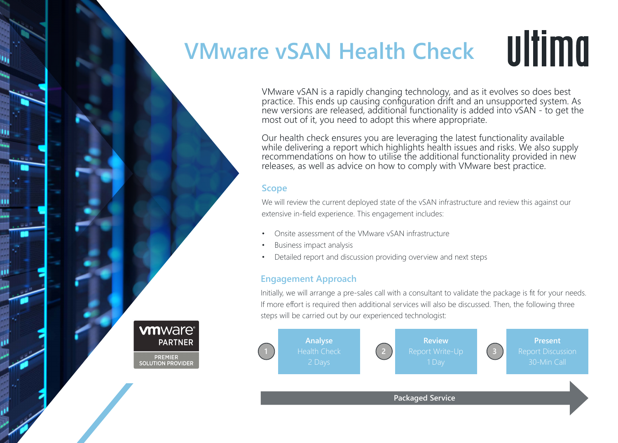## **VMware vSAN Health Check**

ultima

VMware vSAN is a rapidly changing technology, and as it evolves so does best practice. This ends up causing configuration drift and an unsupported system. As new versions are released, additional functionality is added into vSAN - to get the most out of it, you need to adopt this where appropriate.

Our health check ensures you are leveraging the latest functionality available while delivering a report which highlights health issues and risks. We also supply recommendations on how to utilise the additional functionality provided in new releases, as well as advice on how to comply with VMware best practice.

## **Scope**

**vm**ware<sup>®</sup>

PREMIER<br>SOLUTION PROVIDER

**PARTNER** 

We will review the current deployed state of the vSAN infrastructure and review this against our extensive in-field experience. This engagement includes:

- Onsite assessment of the VMware vSAN infrastructure
- Business impact analysis
- Detailed report and discussion providing overview and next steps

## **Engagement Approach**

Initially, we will arrange a pre-sales call with a consultant to validate the package is fit for your needs. If more effort is required then additional services will also be discussed. Then, the following three steps will be carried out by our experienced technologist: